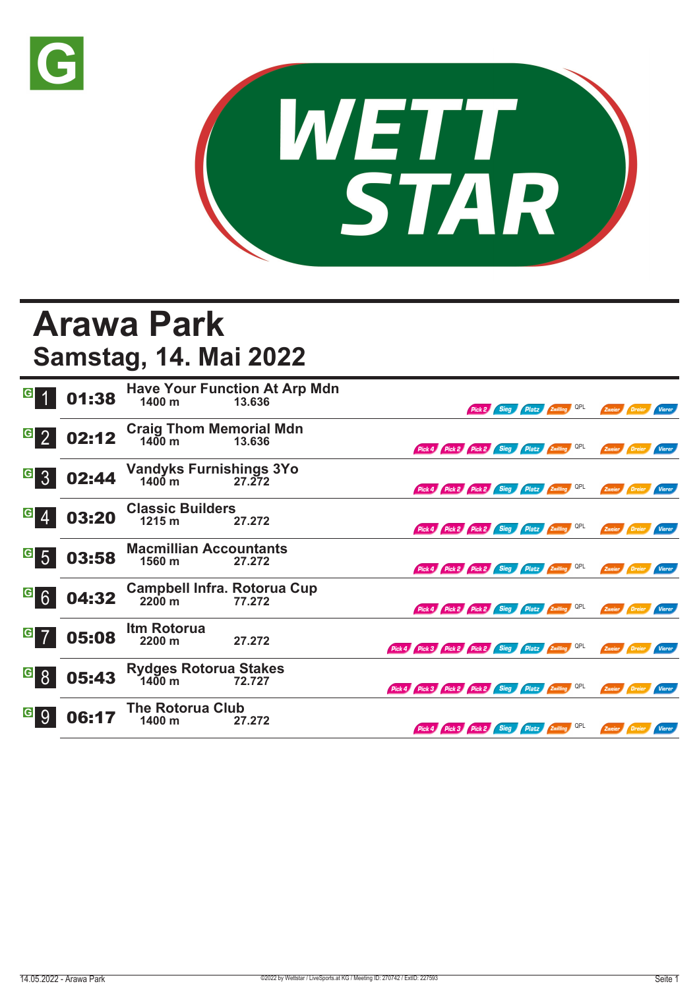



## **Arawa Park Samstag, 14. Mai 2022**

| $\vert G \vert$                    | 01:38 | 1400 m                                                 | <b>Have Your Function At Arp Mdn</b><br>13.636 |                                                     |                                              |  | Pick 2 Sieg Platz Zwilling QPL |  | Zweier Dreier        | <b>Vierer</b> |
|------------------------------------|-------|--------------------------------------------------------|------------------------------------------------|-----------------------------------------------------|----------------------------------------------|--|--------------------------------|--|----------------------|---------------|
| $G_{2}$                            | 02:12 | Craig Thom Memorial Mdn<br>1400 m 13.636               |                                                |                                                     | Pick 4 Pick 2 Pick 2 Sieg Platz Zwilling QPL |  |                                |  | Zweier Dreier        | Vierer        |
| $\vert G \vert$<br>$\overline{3}$  | 02:44 | <b>Vandyks Furnishings 3Yo</b><br>$1400 \text{ m}$     | 27.272                                         |                                                     | Pick 4 Pick 2 Pick 2 Sieg Platz Zwilling QPL |  |                                |  | Zweier Dreier        | Vierer        |
| $\vert G \vert$                    | 03:20 | <b>Classic Builders</b><br>1215 m                      | 27.272                                         |                                                     | Pick 4 Pick 2 Pick 2 Sieg Platz Zwilling QPL |  |                                |  | Zweier Dreier Vierer |               |
| $\vert G \vert$<br>$5\overline{5}$ | 03:58 | <b>Macmillian Accountants</b><br>1560 m                | 27.272                                         |                                                     | Pick 4 Pick 2 Pick 2 Sieg Platz Zwilling QPL |  |                                |  | Zweier Dreier        | Vierer        |
| G6                                 | 04:32 | <b>Campbell Infra. Rotorua Cup</b><br>$2200 \text{ m}$ | 77.272                                         |                                                     | Pick 4 Pick 2 Pick 2 Sieg Platz Zwilling QPL |  |                                |  | Zweier Dreier        | <b>Vierer</b> |
| $G$ 7                              | 05:08 | Itm Rotorua<br>2200 m                                  | 27.272                                         | Pick 4 Pick 3 Pick 2 Pick 2 Sieg Platz Zwilling QPL |                                              |  |                                |  | Zweier Dreier        | Vierer        |
| G <br>8                            | 05:43 | <b>Rydges Rotorua Stakes</b><br>$1400 \text{ m}$       | 72.727                                         | Pick 4 Pick 3 Pick 2 Pick 2 Sieg Platz Zwilling QPL |                                              |  |                                |  | Zweier Dreier        | Vierer        |
| $\vert G \vert$<br>9               | 06:1  | <b>The Rotorua Club</b><br>1400 m                      | 27.272                                         |                                                     | Pick 4 Pick 3 Pick 2 Sieg Platz Zwilling QPL |  |                                |  | Zweier Dreier        | Vierer        |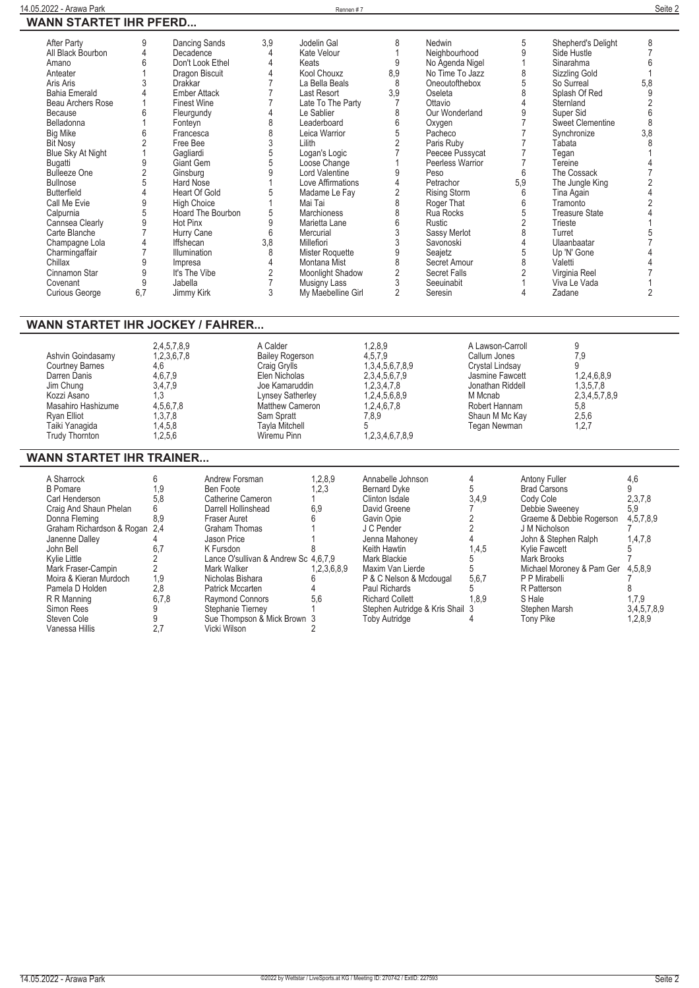| After Party           | 9   | Dancing Sands       | 3.9 | Jodelin Gal        | 8   | Nedwin              | 5   | Shepherd's Delight      | 8   |
|-----------------------|-----|---------------------|-----|--------------------|-----|---------------------|-----|-------------------------|-----|
| All Black Bourbon     |     | Decadence           |     | Kate Velour        |     | Neighbourhood       |     | Side Hustle             |     |
| Amano                 |     | Don't Look Ethel    |     | Keats              | 9   | No Agenda Nigel     |     | Sinarahma               |     |
| Anteater              |     | Dragon Biscuit      |     | Kool Chouxz        | 8,9 | No Time To Jazz     |     | Sizzling Gold           |     |
| Aris Aris             |     | <b>Drakkar</b>      |     | La Bella Beals     | 8   | Oneoutofthebox      |     | So Surreal              | 5,8 |
| <b>Bahia Emerald</b>  |     | <b>Ember Attack</b> |     | Last Resort        | 3,9 | Oseleta             |     | Splash Of Red           |     |
| Beau Archers Rose     |     | <b>Finest Wine</b>  |     | Late To The Party  |     | Ottavio             |     | Sternland               |     |
| Because               |     | Fleurgundy          |     | Le Sablier         |     | Our Wonderland      |     | Super Sid               |     |
| Belladonna            |     | Fonteyn             |     | Leaderboard        |     | Oxygen              |     | <b>Sweet Clementine</b> |     |
| <b>Big Mike</b>       |     | Francesca           |     | Leica Warrior      |     | Pacheco             |     | Synchronize             | 3,8 |
| <b>Bit Nosy</b>       |     | Free Bee            |     | Lilith             |     | Paris Ruby          |     | Tabata                  |     |
| Blue Sky At Night     |     | Gagliardi           |     | Logan's Logic      |     | Peecee Pussycat     |     | Tegan                   |     |
| Bugatti               |     | Giant Gem           |     | Loose Change       |     | Peerless Warrior    |     | Tereine                 |     |
| <b>Bulleeze One</b>   |     | Ginsburg            |     | Lord Valentine     |     | Peso                | 6   | The Cossack             |     |
| <b>Bullnose</b>       |     | <b>Hard Nose</b>    |     | Love Affirmations  |     | Petrachor           | 5,9 | The Jungle King         |     |
| <b>Butterfield</b>    |     | Heart Of Gold       |     | Madame Le Fay      |     | <b>Rising Storm</b> |     | Tina Again              |     |
| Call Me Evie          |     | <b>High Choice</b>  |     | Mai Tai            |     | Roger That          |     | Tramonto                |     |
| Calpurnia             |     | Hoard The Bourbon   | 5   | <b>Marchioness</b> |     | Rua Rocks           |     | <b>Treasure State</b>   |     |
| Cannsea Clearly       |     | Hot Pinx            |     | Marietta Lane      |     | Rustic              |     | Trieste                 |     |
| Carte Blanche         |     | Hurry Cane          | 6   | Mercurial          |     | Sassy Merlot        |     | Turret                  |     |
| Champagne Lola        |     | <b>Iffshecan</b>    | 3,8 | Millefiori         |     | Savonoski           |     | Ulaanbaatar             |     |
| Charmingaffair        |     | <b>Illumination</b> | 8   | Mister Roquette    |     | Seajetz             |     | Up 'N' Gone             |     |
| Chillax               |     | Impresa             |     | Montana Mist       |     | Secret Amour        |     | Valetti                 |     |
| Cinnamon Star         | 9   | It's The Vibe       |     | Moonlight Shadow   |     | Secret Falls        |     | Virginia Reel           |     |
| Covenant              | 9   | Jabella             |     | Musigny Lass       |     | Seeuinabit          |     | Viva Le Vada            |     |
| <b>Curious George</b> | 6,7 | Jimmy Kirk          |     | My Maebelline Girl |     | Seresin             |     | Zadane                  |     |
|                       |     |                     |     |                    |     |                     |     |                         |     |

## **WANN STARTET IHR JOCKEY / FAHRER...**

| 1,3,4,5,6,7,8,9<br>Crystal Lindsay<br><b>Courtney Barnes</b><br>Craig Grylls<br>4.6<br>2,3,4,5,6,7,9<br>4,6,7,9<br>Elen Nicholas<br>Darren Danis<br>Jasmine Fawcett<br>1,2,3,4,7,8<br>3,4,7,9<br>Jonathan Riddell<br>Jim Chung<br>Joe Kamaruddin<br>1,2,4,5,6,8,9<br>Kozzi Asano<br>M Mcnab<br>Lynsey Satherley<br>.3<br>4,5,6,7,8<br>1,2,4,6,7,8<br>5,8<br>Robert Hannam<br>Masahiro Hashizume<br>Matthew Cameron<br>2,5,6<br>1,3,7,8<br>Sam Spratt<br>Shaun M Mc Kay<br>7.8.9<br>Rvan Elliot<br>1,2,7<br>Taiki Yanaqida<br>1,4,5,8<br><b>Tayla Mitchell</b><br>Tegan Newman<br>1,2,3,4,6,7,8,9<br><b>Trudy Thornton</b><br>1.2.5.6<br>Wiremu Pinn | Ashvin Goindasamy | 2,4,5,7,8,9<br>1,2,3,6,7,8 | A Calder<br><b>Bailey Rogerson</b> | 1,2,8,9<br>4.5.7.9 | A Lawson-Carroll<br>Callum Jones | 7.9<br>1,2,4,6,8,9<br>1,3,5,7,8<br>2,3,4,5,7,8,9 |
|-----------------------------------------------------------------------------------------------------------------------------------------------------------------------------------------------------------------------------------------------------------------------------------------------------------------------------------------------------------------------------------------------------------------------------------------------------------------------------------------------------------------------------------------------------------------------------------------------------------------------------------------------------|-------------------|----------------------------|------------------------------------|--------------------|----------------------------------|--------------------------------------------------|
|-----------------------------------------------------------------------------------------------------------------------------------------------------------------------------------------------------------------------------------------------------------------------------------------------------------------------------------------------------------------------------------------------------------------------------------------------------------------------------------------------------------------------------------------------------------------------------------------------------------------------------------------------------|-------------------|----------------------------|------------------------------------|--------------------|----------------------------------|--------------------------------------------------|

## **WANN STARTET IHR TRAINER...**

| A Sharrock<br><b>B</b> Pomare<br>Carl Henderson<br>Craig And Shaun Phelan<br>Donna Fleming<br>Graham Richardson & Rogan 2,4<br>Janenne Dalley<br>John Bell<br>Kylie Little<br>Mark Fraser-Campin<br>Moira & Kieran Murdoch<br>Pamela D Holden<br>R R Manning<br>Simon Rees<br>Steven Cole | 6<br>1,9<br>5,8<br>6<br>8.9<br>6,7<br>1.9<br>2.8<br>6,7,8 | Andrew Forsman<br>Ben Foote<br>Catherine Cameron<br>Darrell Hollinshead<br><b>Fraser Auret</b><br><b>Graham Thomas</b><br>Jason Price<br>K Fursdon<br>Lance O'sullivan & Andrew Sc 4.6.7.9<br>Mark Walker<br>Nicholas Bishara<br>Patrick Mccarten<br><b>Raymond Connors</b><br>Stephanie Tierney<br>Sue Thompson & Mick Brown 3 | 1,2,8,9<br>1,2,3<br>6,9<br>1,2,3,6,8,9<br>5,6 | Annabelle Johnson<br><b>Bernard Dyke</b><br>Clinton Isdale<br>David Greene<br>Gavin Opie<br>J C Pender<br>Jenna Mahoney<br>Keith Hawtin<br>Mark Blackie<br>Maxim Van Lierde<br>P & C Nelson & Mcdougal<br>Paul Richards<br><b>Richard Collett</b><br>Stephen Autridge & Kris Shail 3<br><b>Toby Autridge</b> | 3,4.9<br>1,4,5<br>5,6,7<br>1,8,9 | <b>Antony Fuller</b><br><b>Brad Carsons</b><br>Cody Cole<br>Debbie Sweeney<br>Graeme & Debbie Rogerson<br>J M Nicholson<br>John & Stephen Ralph<br>Kylie Fawcett<br>Mark Brooks<br>Michael Moroney & Pam Ger<br>P P Mirabelli<br>R Patterson<br>S Hale<br>Stephen Marsh<br><b>Tony Pike</b> | 4,6<br>2,3,7,8<br>5.9<br>4,5,7,8,9<br>1,4,7,8<br>4,5,8,9<br>1,7,9<br>3,4,5,7,8,9<br>1.2.8.9 |
|-------------------------------------------------------------------------------------------------------------------------------------------------------------------------------------------------------------------------------------------------------------------------------------------|-----------------------------------------------------------|---------------------------------------------------------------------------------------------------------------------------------------------------------------------------------------------------------------------------------------------------------------------------------------------------------------------------------|-----------------------------------------------|--------------------------------------------------------------------------------------------------------------------------------------------------------------------------------------------------------------------------------------------------------------------------------------------------------------|----------------------------------|---------------------------------------------------------------------------------------------------------------------------------------------------------------------------------------------------------------------------------------------------------------------------------------------|---------------------------------------------------------------------------------------------|
| Vanessa Hillis                                                                                                                                                                                                                                                                            | 2.7                                                       | Vicki Wilson                                                                                                                                                                                                                                                                                                                    |                                               |                                                                                                                                                                                                                                                                                                              |                                  |                                                                                                                                                                                                                                                                                             |                                                                                             |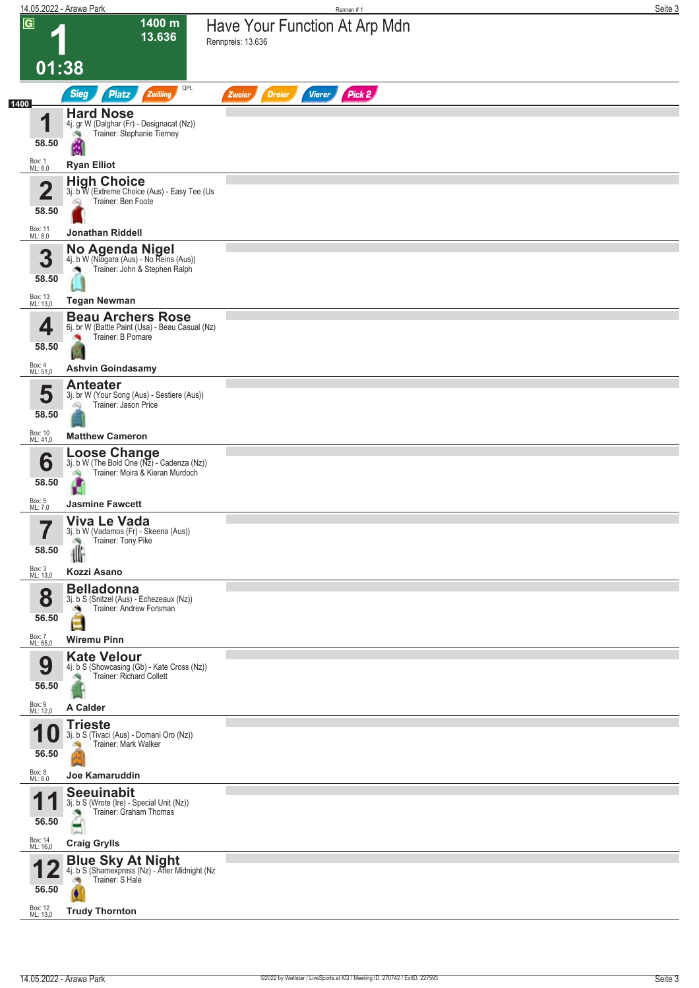|                |                                  | 14.05.2022 - Arawa Park                                                                                                       | Rennen #1                                          | Seite 3 |
|----------------|----------------------------------|-------------------------------------------------------------------------------------------------------------------------------|----------------------------------------------------|---------|
| $\overline{G}$ |                                  | 1400 m<br>13.636                                                                                                              | Have Your Function At Arp Mdn<br>Rennpreis: 13.636 |         |
|                | 01:38                            |                                                                                                                               |                                                    |         |
| 1400           |                                  | QPL<br><b>Sieg</b><br>Zwilling<br><b>Platz</b>                                                                                | Pick 2<br><b>Dreier</b><br><b>Vierer</b><br>Zweier |         |
|                | 1<br>58.50<br>Box: 1             | <b>Hard Nose</b><br>4j. gr W (Dalghar (Fr) - Designacat (Nz))<br>Trainer: Stephanie Tierney<br>询<br>Ŷ.                        |                                                    |         |
|                | ML: 8,0                          | <b>Ryan Elliot</b>                                                                                                            |                                                    |         |
|                | $\overline{\mathbf{2}}$<br>58.50 | <b>High Choice</b><br>3j. b W (Extreme Choice (Aus) - Easy Tee (Us<br>Trainer: Ben Foote<br>Q                                 |                                                    |         |
|                | Box: 11<br>ML: 8,0               | Jonathan Riddell                                                                                                              |                                                    |         |
|                | 3<br>58.50                       | No Agenda Nigel<br>4j. b W (Niagara (Aus) - No Reins (Aus))<br>Trainer: John & Stephen Ralph                                  |                                                    |         |
|                | Box: 13<br>ML: 13,0              | <b>Tegan Newman</b>                                                                                                           |                                                    |         |
|                | 4<br>58.50                       | <b>Beau Archers Rose</b><br>6j. br W (Battle Paint (Usa) - Beau Casual (Nz)<br>Trainer: B Pomare                              |                                                    |         |
|                | Box: 4<br>ML: 51,0               | <b>Ashvin Goindasamy</b>                                                                                                      |                                                    |         |
|                | 5<br>58.50                       | <b>Anteater</b><br>3j. br W (Your Song (Aus) - Sestiere (Aus))<br>Trainer: Jason Price<br>Q                                   |                                                    |         |
|                | Box: 10<br>ML: 41,0              | <b>Matthew Cameron</b>                                                                                                        |                                                    |         |
|                | 6<br>58.50                       | <b>Loose Change</b><br>$3j. b W$ (The Bold One $(Nz)$ - Cadenza $(Nz)$ )<br>Trainer: Moira & Kieran Murdoch<br>S.<br>ar i     |                                                    |         |
|                | Box: 5<br>ML: 7,0                | <b>Jasmine Fawcett</b>                                                                                                        |                                                    |         |
|                | —<br>58.50<br>Box: 3<br>ML: 13,0 | <b>Viva Le Vada</b><br>3j. b W (Vadamos (Fr) - Skeena (Aus))<br>Trainer: Tony Pike<br>₩<br>Kozzi Asano                        |                                                    |         |
|                | 8<br>56.50                       | <b>Belladonna</b><br>3j. b S (Snitzel (Aus) - Echezeaux (Nz))<br>Trainer: Andrew Forsman<br>o,                                |                                                    |         |
|                | Box: 7<br>ML: 65,0               | <b>Wiremu Pinn</b>                                                                                                            |                                                    |         |
|                | 9<br>56.50                       | <b>Kate Velour</b><br>4j. b S (Showcasing (Gb) - Kate Cross (Nz))<br>Trainer: Richard Collett                                 |                                                    |         |
|                | Box: 9<br>ML: 12,0               | A Calder                                                                                                                      |                                                    |         |
|                | и<br>56.50<br>Box: 8             | <b>Trieste</b><br>3j. b S (Tivaci (Aus) - Domani Oro (Nz))<br>Trainer: Mark Walker<br>Joe Kamaruddin                          |                                                    |         |
|                | ML: 6,0                          | <b>Seeuinabit</b>                                                                                                             |                                                    |         |
|                | И<br>56.50                       | 3j. b S (Wrote (Ire) - Special Unit (Nz))<br>Trainer: Graham Thomas<br>۸                                                      |                                                    |         |
|                | Box: 14<br>ML: 16,0              | <b>Craig Grylls</b>                                                                                                           |                                                    |         |
|                | 56.50                            | <b>Blue Sky At Night</b><br>4j. b S (Shamexpress (Nz) - After Midnight (Nz<br>Trainer: S Hale<br>ंचे<br><b>Trudy Thornton</b> |                                                    |         |
|                | Box: 12<br>ML: 13,0              |                                                                                                                               |                                                    |         |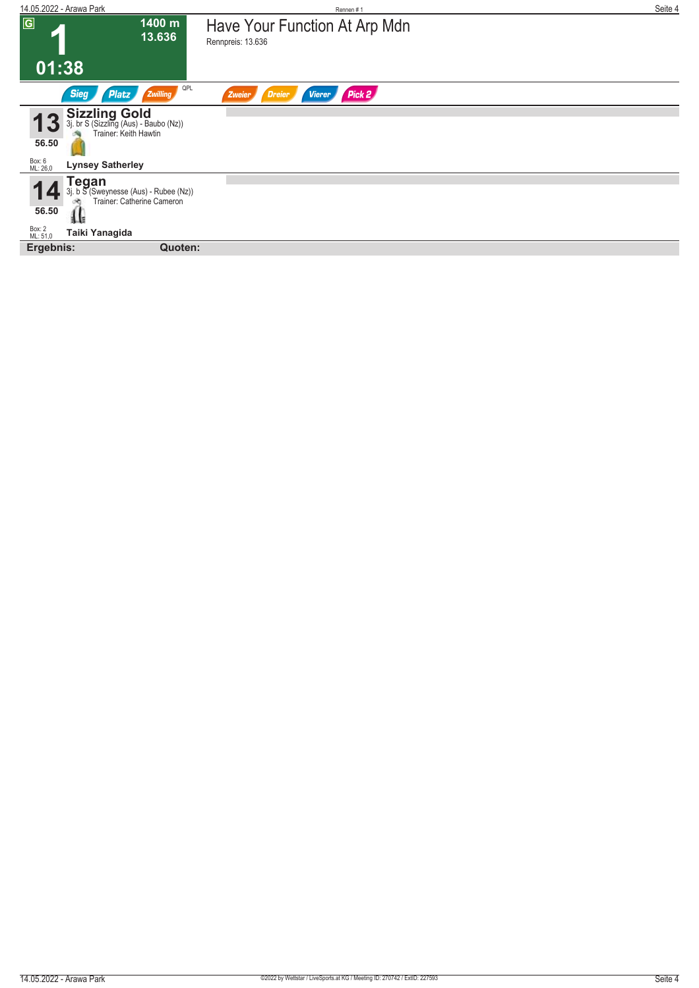| 14.05.2022 - Arawa Park                                                              | Rennen#1                                           | Seite 4 |
|--------------------------------------------------------------------------------------|----------------------------------------------------|---------|
| $\overline{G}$<br>1400 m<br>13.636                                                   | Have Your Function At Arp Mdn<br>Rennpreis: 13.636 |         |
| 01:38                                                                                |                                                    |         |
| <b>Sieg</b><br>Zwilling<br><b>Platz</b>                                              | QPL<br>Pick 2<br>Dreier<br><b>Vierer</b><br>Zweier |         |
| Sizzling Gold<br>3j. br S (Sizzling (Aus) - Baubo (Nz))<br>Trainer: Keith Hawtin     |                                                    |         |
| 56.50                                                                                |                                                    |         |
| Box: 6<br>ML: 26,0<br><b>Lynsey Satherley</b>                                        |                                                    |         |
| <b>Tegan</b><br>3j. b S (Sweynesse (Aus) - Rubee (Nz))<br>Trainer: Catherine Cameron |                                                    |         |
| 56.50<br>i la                                                                        |                                                    |         |
| Box: 2<br>ML: 51,0<br>Taiki Yanagida                                                 |                                                    |         |
| Ergebnis:<br>Quoten:                                                                 |                                                    |         |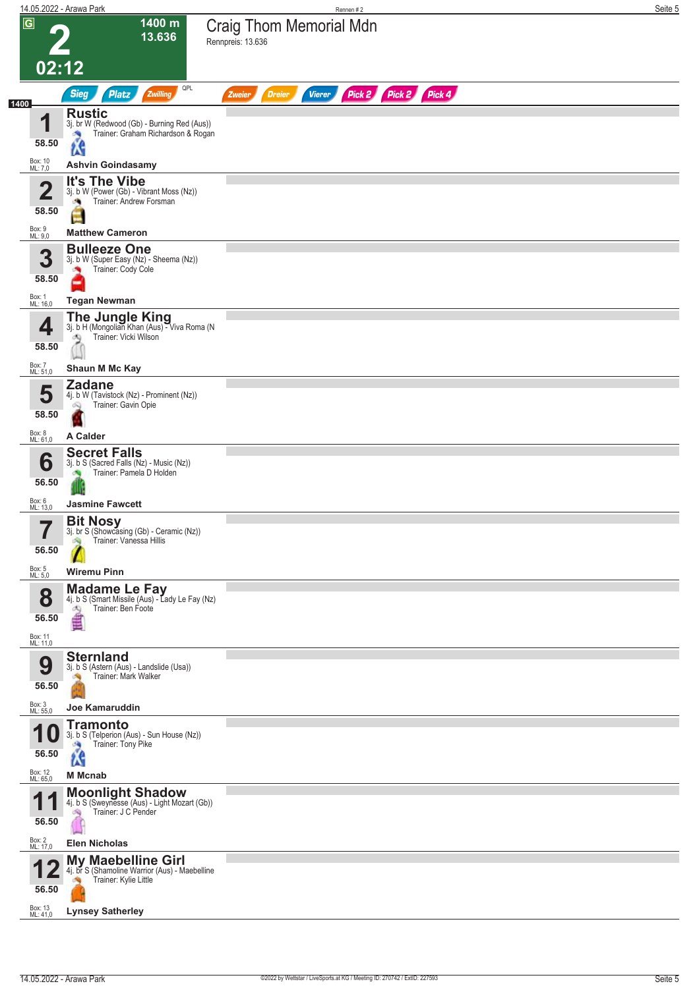|      |                                                       | 14.05.2022 - Arawa Park                                                                                                                           | Rennen#2                                                         | Seite 5 |
|------|-------------------------------------------------------|---------------------------------------------------------------------------------------------------------------------------------------------------|------------------------------------------------------------------|---------|
|      | $\overline{G}$<br>02:12                               | 1400 m<br>13.636                                                                                                                                  | <b>Craig Thom Memorial Mdn</b><br>Rennpreis: 13.636              |         |
|      |                                                       | QPL<br><b>Sieg</b><br><b>Platz</b><br>Zwilling                                                                                                    | Pick 2 Pick 2 Pick 4<br><b>Dreier</b><br><b>Vierer</b><br>Zweier |         |
| 1400 | ◀<br>58.50                                            | <b>Rustic</b><br>3j. br W (Redwood (Gb) - Burning Red (Aus))<br>Trainer: Graham Richardson & Rogan<br>×,<br><b>LG</b><br><b>Ashvin Goindasamy</b> |                                                                  |         |
|      | Box: 10<br>ML: 7,0                                    |                                                                                                                                                   |                                                                  |         |
|      | $\overline{\mathbf{2}}$<br>58.50<br>Box: 9<br>ML: 9,0 | It's The Vibe<br>3j. b W (Power (Gb) - Vibrant Moss (Nz))<br>Trainer: Andrew Forsman<br><b>Matthew Cameron</b>                                    |                                                                  |         |
|      |                                                       | <b>Bulleeze One</b>                                                                                                                               |                                                                  |         |
|      | 3<br>58.50<br>Box: 1<br>ML: 16,0                      | 3j. b W (Super Easy (Nz) - Sheema (Nz))<br>Trainer: Cody Cole<br><b>Tegan Newman</b>                                                              |                                                                  |         |
|      |                                                       |                                                                                                                                                   |                                                                  |         |
|      | 4<br>58.50                                            | <b>The Jungle King</b><br>3j. b H (Mongolian Khan (Aus) - Viva Roma (N<br>Trainer: Vicki Wilson<br>æ,                                             |                                                                  |         |
|      | Box: 7<br>ML: 51,0                                    | Shaun M Mc Kay                                                                                                                                    |                                                                  |         |
|      | 5<br>58.50                                            | <b>Zadane</b><br>4j. b W (Tavistock (Nz) - Prominent (Nz))<br>Trainer: Gavin Opie                                                                 |                                                                  |         |
|      | Box: 8<br>ML: 61,0                                    | A Calder                                                                                                                                          |                                                                  |         |
|      | 6<br>56.50                                            | <b>Secret Falls</b><br>3j. b S (Sacred Falls (Nz) - Music (Nz))<br>Trainer: Pamela D Holden                                                       |                                                                  |         |
|      | Box: 6<br>ML: 13,0                                    | <b>Jasmine Fawcett</b>                                                                                                                            |                                                                  |         |
|      | ۳.<br>56.50                                           | <b>Bit Nosy</b><br>3j. br S (Showcasing (Gb) - Ceramic (Nz))<br>Trainer: Vanessa Hillis                                                           |                                                                  |         |
|      | Box: 5<br>ML: 5,0                                     | <b>Wiremu Pinn</b>                                                                                                                                |                                                                  |         |
|      | 8<br>56.50<br>Box: 11<br>ML: 11,0                     | <b>Madame Le Fay</b><br>4j. b S (Smart Missile (Aus) - Lady Le Fay (Nz)<br>Trainer: Ben Foote<br>Ø9<br>₫                                          |                                                                  |         |
|      | 9<br>56.50                                            | <b>Sternland</b><br>3j. b S (Astern (Aus) - Landslide (Usa))<br>Trainer: Mark Walker                                                              |                                                                  |         |
|      | Box: 3<br>ML: 55,0                                    | Joe Kamaruddin                                                                                                                                    |                                                                  |         |
|      | и<br>56.50<br>Box: 12                                 | <b>Tramonto</b><br>3j. b S (Telperion (Aus) - Sun House (Nz))<br>Trainer: Tony Pike<br><b>SA</b><br><b>LS</b><br><b>M</b> Mcnab                   |                                                                  |         |
|      | ML: 65,0                                              | <b>Moonlight Shadow</b>                                                                                                                           |                                                                  |         |
|      | 1<br>и<br>56.50                                       | 4j. b S (Sweynesse (Aus) - Light Mozart (Gb))<br>Trainer: J C Pender<br>沟                                                                         |                                                                  |         |
|      | Box: 2<br>ML: 17,0                                    | <b>Elen Nicholas</b>                                                                                                                              |                                                                  |         |
|      | 56.50                                                 | <b>My Maebelline Girl</b><br>4j. br S (Shamoline Warrior (Aus) - Maebelline<br>Trainer: Kylie Little                                              |                                                                  |         |
|      | Box: 13<br>ML: 41,0                                   | <b>Lynsey Satherley</b>                                                                                                                           |                                                                  |         |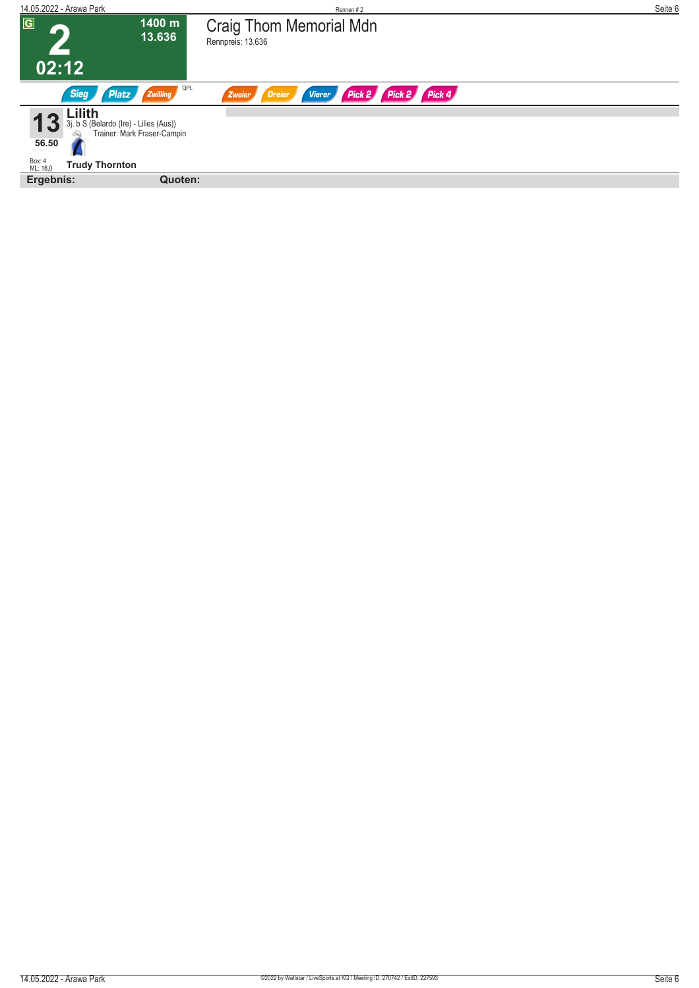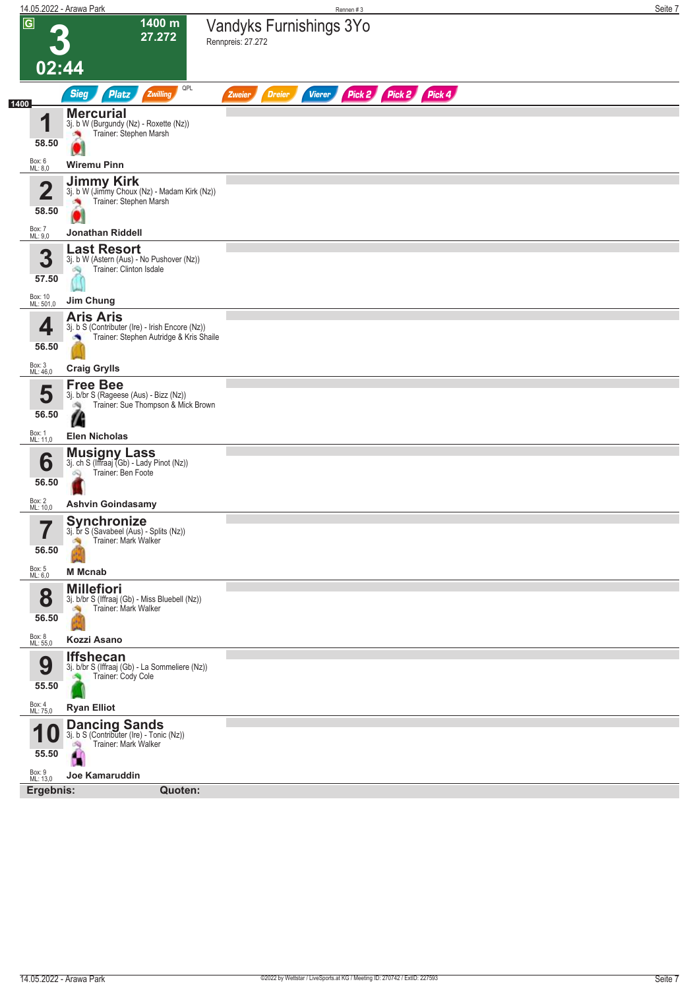|                                         | 14.05.2022 - Arawa Park                                                                                        | Rennen #3                                                        | Seite 7 |
|-----------------------------------------|----------------------------------------------------------------------------------------------------------------|------------------------------------------------------------------|---------|
| $\overline{G}$                          | 1400 m<br>27.272                                                                                               | Vandyks Furnishings 3Yo<br>Rennpreis: 27.272                     |         |
| 02:44                                   |                                                                                                                |                                                                  |         |
| 1400                                    | QPL<br><b>Sieg</b><br>Zwilling<br><b>Platz</b>                                                                 | Pick 2 Pick 2 Pick 4<br><b>Dreier</b><br><b>Vierer</b><br>Zweier |         |
| и<br>58.50                              | <b>Mercurial</b><br>3j. b W (Burgundy (Nz) - Roxette (Nz))<br>Trainer: Stephen Marsh<br>×                      |                                                                  |         |
| Box: 6<br>ML: 8,0                       | <b>Wiremu Pinn</b>                                                                                             |                                                                  |         |
| $\overline{\mathbf{2}}$<br>58.50        | <b>Jimmy Kirk</b><br>3j. b W (Jimmy Choux (Nz) - Madam Kirk (Nz))<br>Trainer: Stephen Marsh                    |                                                                  |         |
| Box: 7<br>ML: 9,0                       | <b>Jonathan Riddell</b>                                                                                        |                                                                  |         |
| 3<br>57.50                              | <b>Last Resort</b><br>3j. b W (Astern (Aus) - No Pushover (Nz))<br>Trainer: Clinton Isdale                     |                                                                  |         |
| Box: 10<br>ML: 501,0                    | Jim Chung                                                                                                      |                                                                  |         |
| 4<br>56.50                              | <b>Aris Aris</b><br>3j. b S (Contributer (Ire) - Irish Encore (Nz))<br>Trainer: Stephen Autridge & Kris Shaile |                                                                  |         |
| Box: 3<br>ML: 46,0                      | <b>Craig Grylls</b>                                                                                            |                                                                  |         |
| 5<br>56.50                              | <b>Free Bee</b><br>3j. b/br S (Rageese (Aus) - Bizz (Nz))<br>Trainer: Sue Thompson & Mick Brown<br>鸿<br>Æ      |                                                                  |         |
| Box: 1<br>ML: 11,0                      | <b>Elen Nicholas</b>                                                                                           |                                                                  |         |
| 6<br>56.50                              | <b>Musigny Lass</b><br>3j. ch S (Iffraaj (Gb) - Lady Pinot (Nz))<br>Trainer: Ben Foote<br>Q                    |                                                                  |         |
| Box: 2<br>ML: 10,0                      | <b>Ashvin Goindasamy</b>                                                                                       |                                                                  |         |
| 7<br>56.50<br>Box: 5<br>ML: 6,0         | Synchronize<br>3j. br S (Savabeel (Aus) - Splits (Nz))<br>Trainer: Mark Walker<br><b>M</b> Mcnab               |                                                                  |         |
|                                         | <b>Millefiori</b>                                                                                              |                                                                  |         |
| 8<br>56.50                              | 3j. b/br S (Iffraaj (Gb) - Miss Bluebell (Nz))<br>Trainer: Mark Walker                                         |                                                                  |         |
| Box: 8<br>ML: 55,0                      | Kozzi Asano                                                                                                    |                                                                  |         |
| 9<br>55.50                              | <b>Iffshecan</b><br>3j. b/br S (Iffraaj (Gb) - La Sommeliere (Nz))<br>Trainer: Cody Cole                       |                                                                  |         |
| Box: 4<br>ML: 75,0                      | <b>Ryan Elliot</b>                                                                                             |                                                                  |         |
| 4<br>1 U<br>55.50<br>Box: 9<br>ML: 13,0 | <b>Dancing Sands</b><br>3j. b S (Contributer (Ire) - Tonic (Nz))<br>Trainer: Mark Walker<br>Joe Kamaruddin     |                                                                  |         |
| Ergebnis:                               | Quoten:                                                                                                        |                                                                  |         |
|                                         |                                                                                                                |                                                                  |         |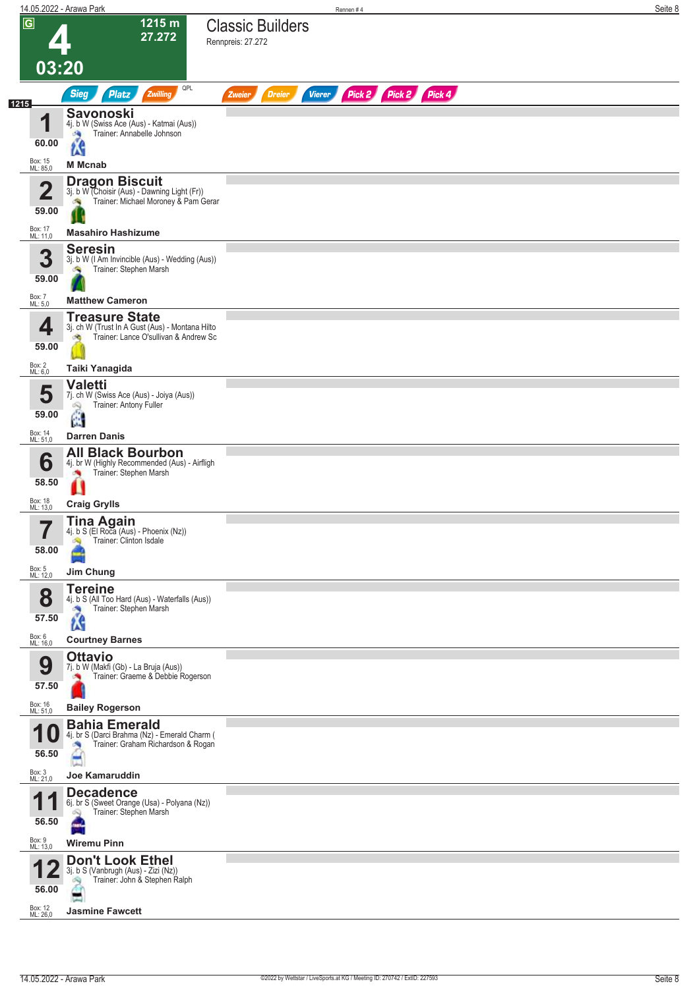|                                  | 14.05.2022 - Arawa Park                                                                                                  |                                              | Rennen#4                              | Seite 8 |
|----------------------------------|--------------------------------------------------------------------------------------------------------------------------|----------------------------------------------|---------------------------------------|---------|
| $\overline{G}$                   | 1215 m<br>27.272<br>03:20                                                                                                | <b>Classic Builders</b><br>Rennpreis: 27.272 |                                       |         |
|                                  | QPL<br><b>Sieg</b><br>Zwilling<br><b>Platz</b>                                                                           | <b>Dreier</b><br>Zweier                      | Pick 2 Pick 2 Pick 4<br><b>Vierer</b> |         |
| 1215<br>◀                        | <b>Savonoski</b><br>4j. b W (Swiss Ace (Aus) - Katmai (Aus))<br>Trainer: Annabelle Johnson<br><b>SA</b>                  |                                              |                                       |         |
| 60.00                            | <b>is</b>                                                                                                                |                                              |                                       |         |
| Box: 15<br>ML: 85,0              | <b>M</b> Mcnab                                                                                                           |                                              |                                       |         |
| $\overline{\mathbf{2}}$<br>59.00 | <b>Dragon Biscuit</b><br>3j. b W (Choisir (Aus) - Dawning Light (Fr))<br>Trainer: Michael Moroney & Pam Gerar            |                                              |                                       |         |
| Box: 17<br>ML: 11,0              | <b>Masahiro Hashizume</b>                                                                                                |                                              |                                       |         |
| 3<br>59.00                       | <b>Seresin</b><br>3j. b W (I Am Invincible (Aus) - Wedding (Aus))<br>Trainer: Stephen Marsh<br>G,                        |                                              |                                       |         |
| Box: 7<br>ML: 5,0                | <b>Matthew Cameron</b>                                                                                                   |                                              |                                       |         |
| 4<br>59.00                       | <b>Treasure State</b><br>3j. ch W (Trust In A Gust (Aus) - Montana Hilto<br>Trainer: Lance O'sullivan & Andrew Sc<br>d'O |                                              |                                       |         |
| Box: 2<br>ML: 6,0                | Taiki Yanagida                                                                                                           |                                              |                                       |         |
| 5<br>59.00                       | <b>Valetti</b><br>7j. ch W (Swiss Ace (Aus) - Joiya (Aus))<br>Trainer: Antony Fuller<br>Q<br>4                           |                                              |                                       |         |
| Box: 14<br>ML: 51,0              | <b>Darren Danis</b>                                                                                                      |                                              |                                       |         |
| 6<br>58.50                       | <b>All Black Bourbon</b><br>4j. br W (Highly Recommended (Aus) - Airfligh<br>Trainer: Stephen Marsh                      |                                              |                                       |         |
| Box: 18<br>ML: 13,0              | <b>Craig Grylls</b>                                                                                                      |                                              |                                       |         |
| —<br>58.00                       | <b>Tina Again</b><br>4j. b S (El Roca (Aus) - Phoenix (Nz))<br>Trainer: Clinton Isdale                                   |                                              |                                       |         |
| Box: 5<br>ML: 12,0               | Jim Chung<br><b>Tereine</b>                                                                                              |                                              |                                       |         |
| 8<br>57.50                       | 4j. b S (All Too Hard (Aus) - Waterfalls (Aus))<br>Trainer: Stephen Marsh<br>×,<br><b>AS</b>                             |                                              |                                       |         |
| Box: 6<br>ML: 16,0               | <b>Courtney Barnes</b><br><b>Ottavio</b>                                                                                 |                                              |                                       |         |
| 9<br>57.50                       | 7j. b W (Makfi (Gb) - La Bruja (Aus))<br>Trainer: Graeme & Debbie Rogerson                                               |                                              |                                       |         |
| Box: 16<br>ML: 51,0              | <b>Bailey Rogerson</b>                                                                                                   |                                              |                                       |         |
| 1<br>U<br>56.50                  | <b>Bahia Emerald</b><br>4j. br S (Darci Brahma (Nz) - Emerald Charm (<br>Trainer: Graham Richardson & Rogan              |                                              |                                       |         |
| Box: 3<br>ML: 21,0               | <b>Joe Kamaruddin</b>                                                                                                    |                                              |                                       |         |
| 1<br>56.50                       | <b>Decadence</b><br>6j. br S (Sweet Orange (Usa) - Polyana (Nz))<br>Trainer: Stephen Marsh<br>Q                          |                                              |                                       |         |
| Box: 9<br>ML: 13,0               | <b>Wiremu Pinn</b>                                                                                                       |                                              |                                       |         |
| 56.00                            | <b>Don't Look Ethel</b><br>3j. b S (Vanbrugh (Aus) - Zizi (Nz))<br>Trainer: John & Stephen Ralph<br>œ                    |                                              |                                       |         |
| Box: 12<br>ML: 26,0              | <b>Jasmine Fawcett</b>                                                                                                   |                                              |                                       |         |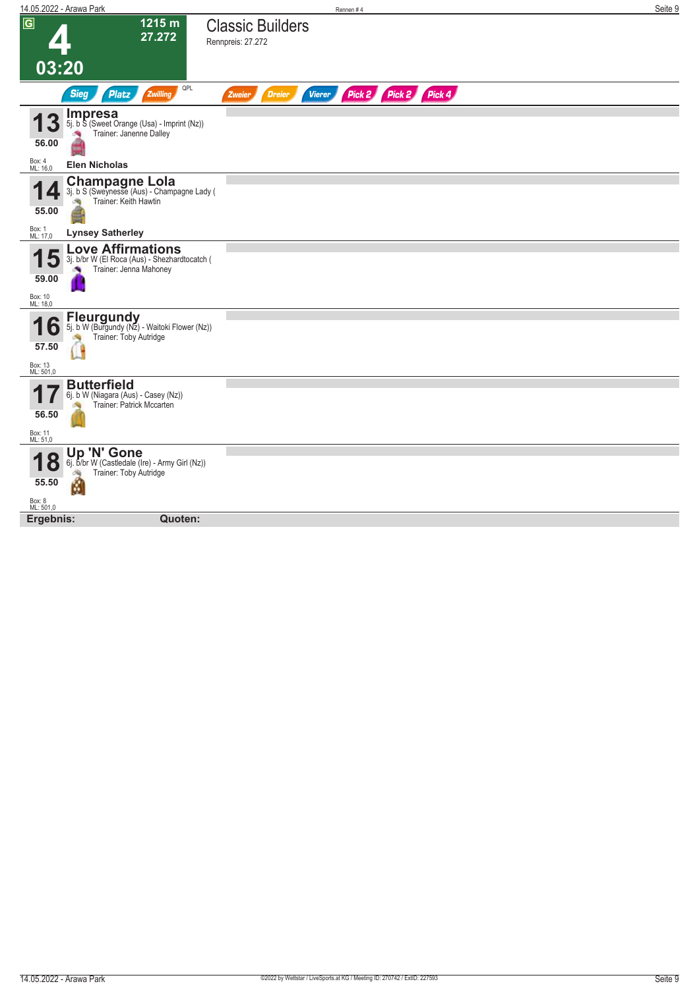| 14.05.2022 - Arawa Park                                                                                                            | Rennen#4                                                  | Seite 9 |
|------------------------------------------------------------------------------------------------------------------------------------|-----------------------------------------------------------|---------|
| $\boxed{G}$<br>1215 m<br>27.272                                                                                                    | <b>Classic Builders</b><br>Rennpreis: 27.272              |         |
| 03:20                                                                                                                              |                                                           |         |
| QPL<br><b>Sieg</b><br><b>Platz</b><br>Zwilling                                                                                     | Pick 2 Pick 2 Pick 4<br><b>Dreier</b><br>Vierer<br>Zweier |         |
| <b>Impresa</b><br>3<br>5j. b S (Sweet Orange (Usa) - Imprint (Nz))<br>Trainer: Janenne Dalley<br>漁<br>56.00                        |                                                           |         |
| Box: 4<br>ML: 16,0<br><b>Elen Nicholas</b>                                                                                         |                                                           |         |
| <b>Champagne Lola</b><br>3j. b S (Sweynesse (Aus) - Champagne Lady (<br>Trainer: Keith Hawtin<br>55.00                             |                                                           |         |
| Box: 1<br>ML: 17,0<br><b>Lynsey Satherley</b>                                                                                      |                                                           |         |
| <b>Love Affirmations</b><br>3j. b/br W (El Roca (Aus) - Shezhardtocatch (<br>Trainer: Jenna Mahoney<br>59.00                       |                                                           |         |
| Box: 10<br>ML: 18,0                                                                                                                |                                                           |         |
| <b>Fleurgundy</b><br>6<br>5j. b W (Burgundy (Nz) - Waitoki Flower (Nz))<br>Trainer: Toby Autridge<br>57.50<br>Box: 13<br>ML: 501,0 |                                                           |         |
| <b>Butterfield</b><br>6j. b W (Niagara (Aus) - Casey (Nz))<br>Trainer: Patrick Mccarten<br>56.50<br>Box: 11<br>ML: 51,0            |                                                           |         |
| Up 'N' Gone<br>6j. b/br W (Castledale (Ire) - Army Girl (Nz))<br>O<br>Trainer: Toby Autridge<br>Ń<br>55.50<br>Box: 8<br>ML: 501,0  |                                                           |         |
| Ergebnis:<br>Quoten:                                                                                                               |                                                           |         |
|                                                                                                                                    |                                                           |         |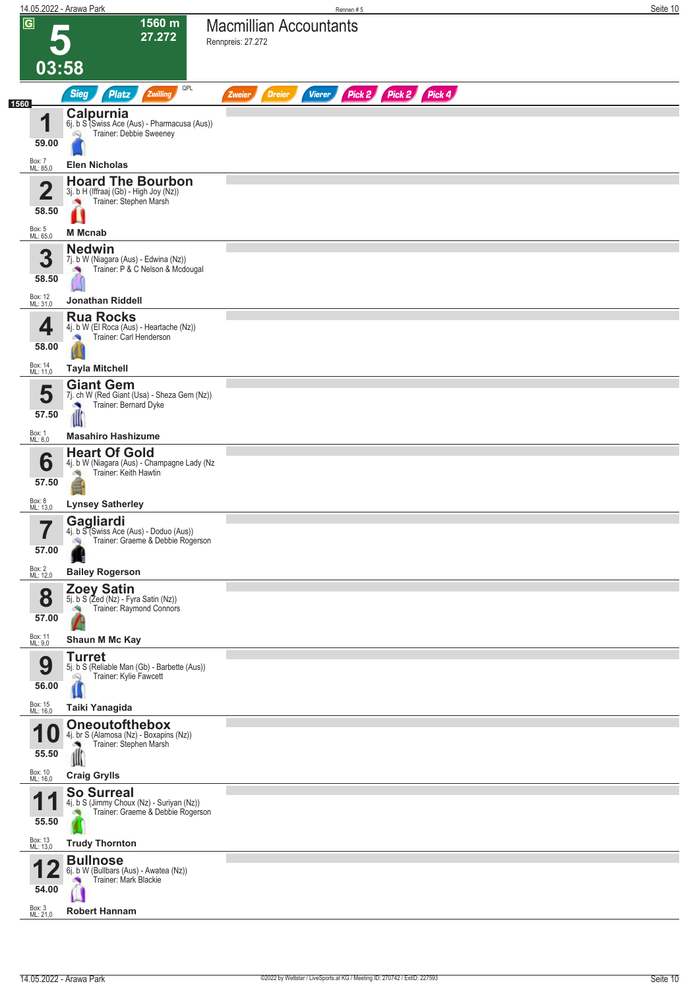|                     | 14.05.2022 - Arawa Park                                                                                                          | Rennen#5                                                                | Seite 10 |
|---------------------|----------------------------------------------------------------------------------------------------------------------------------|-------------------------------------------------------------------------|----------|
| $\overline{G}$      | 1560 m<br>27.272<br>03:58                                                                                                        | <b>Macmillian Accountants</b><br>Rennpreis: 27.272                      |          |
|                     | <b>Sieg</b><br><b>Platz</b><br>Zwilling                                                                                          | QPL<br>Pick 2 Pick 2 Pick 4<br><b>Dreier</b><br><b>Vierer</b><br>Zweier |          |
| 1560                | Calpurnia<br>4<br>6j. b S (Swiss Ace (Aus) - Pharmacusa (Aus))<br>Trainer: Debbie Sweeney<br>Ŵ<br>59.00                          |                                                                         |          |
| Box: 7<br>ML: 85,0  | <b>Elen Nicholas</b>                                                                                                             |                                                                         |          |
|                     | <b>Hoard The Bourbon</b><br>$\overline{\mathbf{2}}$<br>3j. b H (Iffraaj (Gb) - High Joy (Nz))<br>Trainer: Stephen Marsh<br>58.50 |                                                                         |          |
| Box: 5<br>ML: 65,0  | <b>M</b> Mcnab                                                                                                                   |                                                                         |          |
|                     | <b>Nedwin</b><br>3<br>7j. b W (Niagara (Aus) - Edwina (Nz))<br>Trainer: P & C Nelson & Mcdougal<br>×<br>58.50                    |                                                                         |          |
| Box: 12<br>ML: 31,0 | <b>Jonathan Riddell</b>                                                                                                          |                                                                         |          |
|                     | <b>Rua Rocks</b><br>4j. b W (El Roca (Aus) - Heartache (Nz))<br>4<br>Trainer: Carl Henderson<br><b>SIG</b><br>58.00              |                                                                         |          |
| Box: 14<br>ML: 11,0 | <b>Tayla Mitchell</b>                                                                                                            |                                                                         |          |
|                     | <b>Giant Gem</b><br>5<br>7j. ch W (Red Giant (Usa) - Sheza Gem (Nz))<br>Trainer: Bernard Dyke<br>57.50<br>d                      |                                                                         |          |
| Box: 1<br>ML: 8,0   | <b>Masahiro Hashizume</b>                                                                                                        |                                                                         |          |
|                     | <b>Heart Of Gold</b><br>6<br>4j. b W (Niagara (Aus) - Champagne Lady (Nz<br>Trainer: Keith Hawtin<br>肉<br>57.50                  |                                                                         |          |
| Box: 8<br>ML: 13,0  | <b>Lynsey Satherley</b>                                                                                                          |                                                                         |          |
|                     | Gagliardi<br>۳,<br>4j. b S (Swiss Ace (Aus) - Doduo (Aus))<br>Trainer: Graeme & Debbie Rogerson<br>57.00                         |                                                                         |          |
| Box: 2<br>ML: 12,0  | <b>Bailey Rogerson</b>                                                                                                           |                                                                         |          |
|                     | <b>Zoey Satin</b><br>8<br>5j. b S (Zed (Nz) - Fyra Satin (Nz))<br>Trainer: Raymond Connors<br>57.00                              |                                                                         |          |
| Box: 11<br>ML: 9,0  | Shaun M Mc Kay                                                                                                                   |                                                                         |          |
|                     | <b>Turret</b><br>9<br>5j. b S (Reliable Man (Gb) - Barbette (Aus))<br>Trainer: Kylie Fawcett<br>Q<br>56.00                       |                                                                         |          |
| Box: 15<br>ML: 16,0 | Taiki Yanagida                                                                                                                   |                                                                         |          |
| 1                   | <b>Oneoutofthebox</b><br>U<br>4j. br S (Alamosa (Nz) - Boxapins (Nz))<br>Trainer: Stephen Marsh<br>55.50<br>Ш                    |                                                                         |          |
| Box: 10<br>ML: 16,0 | <b>Craig Grylls</b>                                                                                                              |                                                                         |          |
| 1                   | <b>So Surreal</b><br>и<br>4j. b S (Jimmy Choux (Nz) - Suriyan (Nz))<br>Trainer: Graeme & Debbie Rogerson<br>55.50                |                                                                         |          |
| Box: 13<br>ML: 13,0 | <b>Trudy Thornton</b>                                                                                                            |                                                                         |          |
|                     | <b>Bullnose</b><br>6j. b W (Bullbars (Aus) - Awatea (Nz))<br>Trainer: Mark Blackie<br>54.00                                      |                                                                         |          |
| Box: 3<br>ML: 21,0  | <b>Robert Hannam</b>                                                                                                             |                                                                         |          |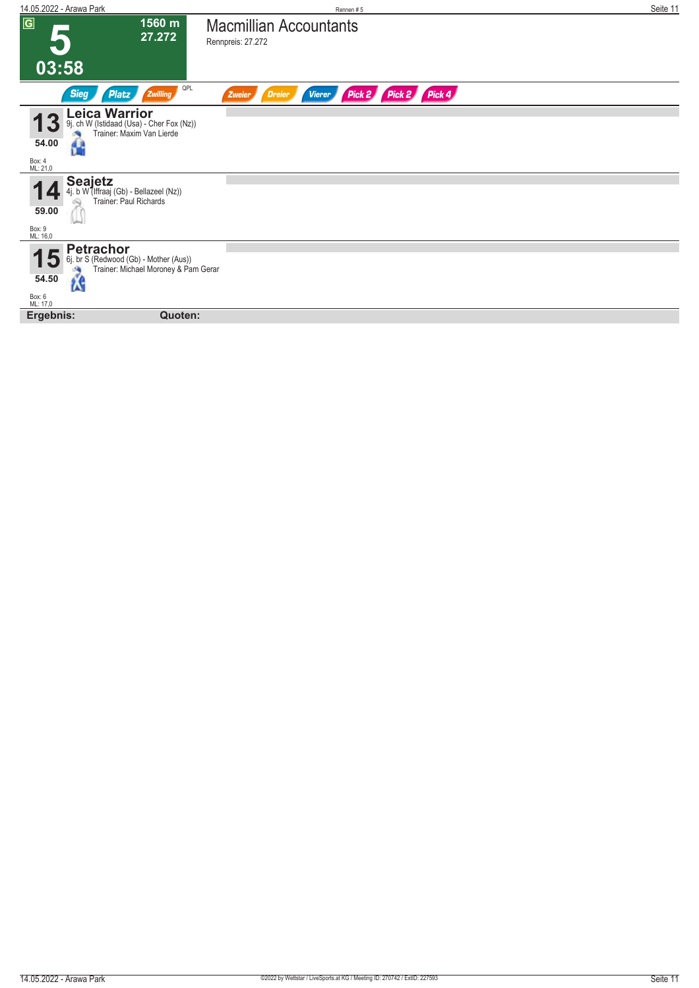| 14.05.2022 - Arawa Park                                                                                                        | Rennen#5                                                            | Seite 11 |
|--------------------------------------------------------------------------------------------------------------------------------|---------------------------------------------------------------------|----------|
| $\overline{G}$<br>1560 m<br>27.272                                                                                             | <b>Macmillian Accountants</b><br>Rennpreis: 27.272                  |          |
| 03:58                                                                                                                          |                                                                     |          |
| QPL<br><b>Sieg</b><br>Zwilling<br>Platz                                                                                        | Pick 2 Pick 4<br>Pick 2<br><b>Dreier</b><br><b>Vierer</b><br>Zweier |          |
| Leica Warrior<br>ch W (Istidaad (Usa) - Cher Fox (Nz))<br>Trainer: Maxim Van Lierde<br>9j.<br>54.00<br>H<br>Box: 4<br>ML: 21,0 |                                                                     |          |
|                                                                                                                                |                                                                     |          |
| Seajetz<br>4j. b W (Iffraaj (Gb) - Bellazeel (Nz))<br>Trainer: Paul Richards                                                   |                                                                     |          |
| 59.00                                                                                                                          |                                                                     |          |
| Box: 9<br>ML: 16,0                                                                                                             |                                                                     |          |
| <b>Petrachor</b><br>6j. br S (Redwood (Gb) - Mother (Aus))<br>l٠<br>Trainer: Michael Moroney & Pam Gerar<br>54.50<br><b>AS</b> |                                                                     |          |
| Box: 6<br>ML: 17,0                                                                                                             |                                                                     |          |
| Quoten:<br>Ergebnis:                                                                                                           |                                                                     |          |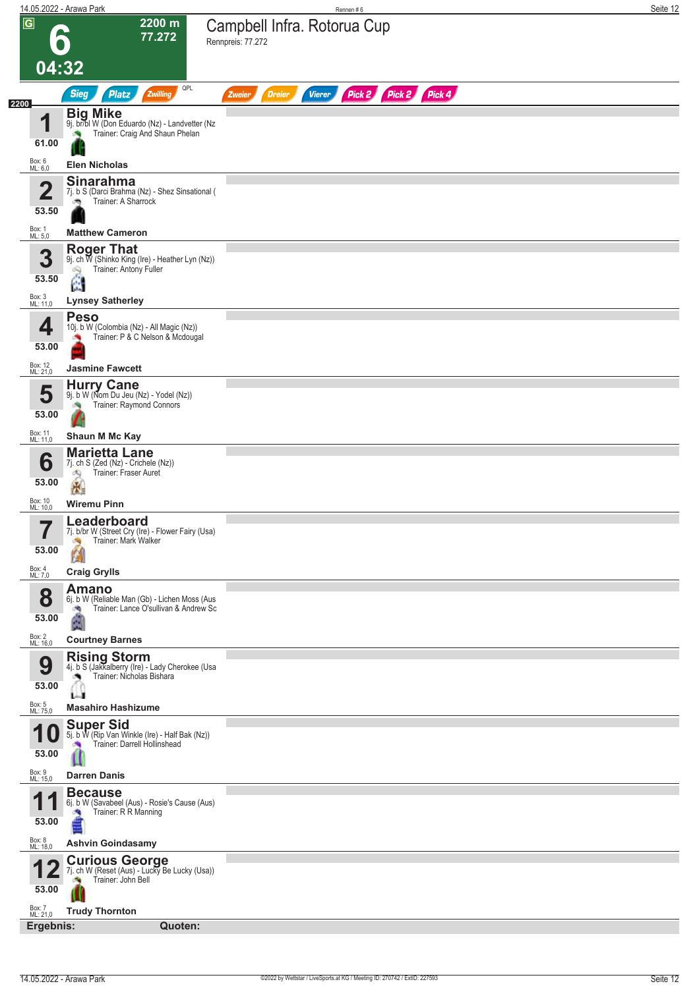|                                  | 14.05.2022 - Arawa Park                                                                                          | Rennen#6                                                         | Seite 12 |
|----------------------------------|------------------------------------------------------------------------------------------------------------------|------------------------------------------------------------------|----------|
| $\overline{G}$                   | 2200 m<br>77.272                                                                                                 | Campbell Infra. Rotorua Cup<br>Rennpreis: 77.272                 |          |
| 04:32                            |                                                                                                                  |                                                                  |          |
|                                  | QPL<br><b>Sieg</b><br><b>Platz</b><br>Zwilling                                                                   | Pick 2 Pick 2 Pick 4<br><b>Dreier</b><br><b>Vierer</b><br>Zweier |          |
| 2200<br>И<br>61.00               | <b>Big Mike</b><br>9j. br/bl W (Don Eduardo (Nz) - Landvetter (Nz<br>Trainer: Craig And Shaun Phelan             |                                                                  |          |
| Box: 6<br>ML: 6,0                | <b>Elen Nicholas</b>                                                                                             |                                                                  |          |
| $\overline{\mathbf{2}}$<br>53.50 | <b>Sinarahma</b><br>7j. b S (Darci Brahma (Nz) - Shez Sinsational (<br>Trainer: A Sharrock<br>ಾ                  |                                                                  |          |
| Box: 1<br>ML: 5,0                | <b>Matthew Cameron</b>                                                                                           |                                                                  |          |
| 3<br>53.50                       | <b>Roger That</b><br>9j. ch W (Shinko King (Ire) - Heather Lyn (Nz))<br>Trainer: Antony Fuller<br>吗<br>Ë         |                                                                  |          |
| Box: 3<br>ML: 11,0               | <b>Lynsey Satherley</b>                                                                                          |                                                                  |          |
| 4<br>53.00                       | <b>Peso</b><br>10j. b W (Colombia (Nz) - All Magic (Nz))<br>Trainer: P & C Nelson & Mcdougal                     |                                                                  |          |
| Box: 12<br>ML: 21,0              | <b>Jasmine Fawcett</b>                                                                                           |                                                                  |          |
| 5<br>53.00                       | <b>Hurry Cane</b><br>9j. b W (Nom Du Jeu (Nz) - Yodel (Nz))<br>Trainer: Raymond Connors                          |                                                                  |          |
| Box: 11<br>ML: 11,0              | Shaun M Mc Kay                                                                                                   |                                                                  |          |
| 6<br>53.00                       | <b>Marietta Lane</b><br>7j. ch S (Zed (Nz) - Crichele (Nz))<br>Trainer: Fraser Auret<br>đQ<br>8                  |                                                                  |          |
| Box: 10<br>ML: 10,0              | <b>Wiremu Pinn</b>                                                                                               |                                                                  |          |
| 53.00                            | Leaderboard<br>7j. b/br W (Street Cry (Ire) - Flower Fairy (Usa)<br>Trainer: Mark Walker<br>И                    |                                                                  |          |
| Box: 4<br>ML: 7,0                | <b>Craig Grylls</b>                                                                                              |                                                                  |          |
| 8<br>53.00                       | <b>Amano</b><br>6j. b W (Reliable Man (Gb) - Lichen Moss (Aus<br>Trainer: Lance O'sullivan & Andrew Sc<br>泃<br>Á |                                                                  |          |
| Box: 2<br>ML: 16,0               | <b>Courtney Barnes</b><br><b>Rising Storm</b>                                                                    |                                                                  |          |
| 9<br>53.00                       | 4j. b S (Jakkalberry (Ire) - Lady Cherokee (Usa<br>Trainer: Nicholas Bishara<br>LЩ                               |                                                                  |          |
| Box: 5<br>ML: 75,0               | <b>Masahiro Hashizume</b>                                                                                        |                                                                  |          |
| 1<br>U<br>53.00                  | Super Sid<br>5j. b W (Rip Van Winkle (Ire) - Half Bak (Nz))<br>Trainer: Darrell Hollinshead                      |                                                                  |          |
| Box: 9<br>ML: 15,0               | <b>Darren Danis</b>                                                                                              |                                                                  |          |
| 1<br>53.00                       | <b>Because</b><br>6j. b W (Savabeel (Aus) - Rosie's Cause (Aus)<br>Trainer: R R Manning                          |                                                                  |          |
| Box: 8<br>ML: 18,0               | <b>Ashvin Goindasamy</b>                                                                                         |                                                                  |          |
| 53.00                            | <b>Curious George</b><br>7j. ch W (Reset (Aus) - Lucky Be Lucky (Usa))<br>Trainer: John Bell                     |                                                                  |          |
| Box: 7<br>ML: 21,0               | <b>Trudy Thornton</b>                                                                                            |                                                                  |          |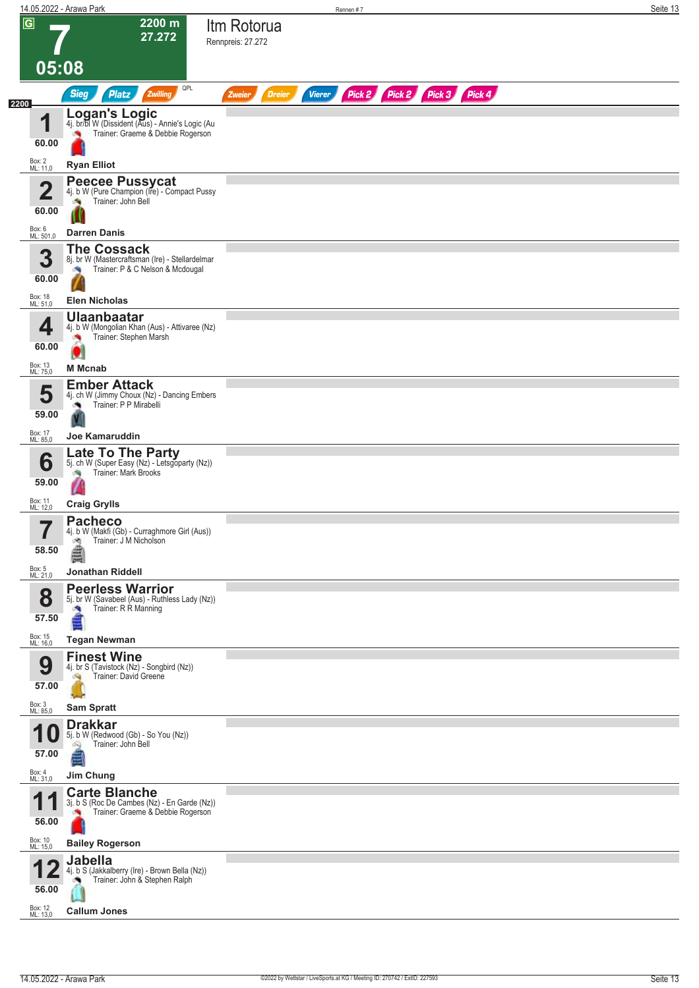|                                  | 14.05.2022 - Arawa Park                                                                                       |                                          | Rennen #7                   | Seite 13 |
|----------------------------------|---------------------------------------------------------------------------------------------------------------|------------------------------------------|-----------------------------|----------|
| $\overline{G}$                   | 2200 m<br>27.272                                                                                              | Itm Rotorua<br>Rennpreis: 27.272         |                             |          |
| 05:08                            |                                                                                                               |                                          |                             |          |
|                                  | QPL<br><b>Sieg</b><br><b>Platz</b><br>Zwilling                                                                | <b>Vierer</b><br><b>Dreier</b><br>Zweier | Pick 2 Pick 2 Pick 3 Pick 4 |          |
| 2200<br>1<br>60.00               | <b>Logan's Logic</b><br>4j. br/bl W (Dissident (Aus) - Annie's Logic (Au<br>Trainer: Graeme & Debbie Rogerson |                                          |                             |          |
| Box: 2<br>ML: 11,0               | <b>Ryan Elliot</b>                                                                                            |                                          |                             |          |
| $\overline{\mathbf{2}}$<br>60.00 | <b>Peecee Pussycat</b><br>4j. b W (Pure Champion (Ire) - Compact Pussy<br>Trainer: John Bell<br>бR,           |                                          |                             |          |
| Box: 6<br>ML: 501,0              | <b>Darren Danis</b>                                                                                           |                                          |                             |          |
| 3<br>60.00                       | <b>The Cossack</b><br>8j. br W (Mastercraftsman (Ire) - Stellardelmar<br>Trainer: P & C Nelson & Mcdougal     |                                          |                             |          |
| Box: 18<br>ML: 51,0              | <b>Elen Nicholas</b>                                                                                          |                                          |                             |          |
| 4<br>60.00                       | <b>Ulaanbaatar</b><br>4j. b W (Mongolian Khan (Aus) - Attivaree (Nz)<br>Trainer: Stephen Marsh<br>$\bullet$   |                                          |                             |          |
| Box: 13<br>ML: 75,0              | <b>M</b> Mcnab                                                                                                |                                          |                             |          |
| 5<br>59.00                       | <b>Ember Attack</b><br>4j. ch W (Jimmy Choux (Nz) - Dancing Embers<br>Trainer: P P Mirabelli                  |                                          |                             |          |
| Box: 17<br>ML: 85,0              | Joe Kamaruddin                                                                                                |                                          |                             |          |
| 6<br>59.00                       | <b>Late To The Party</b><br>5j. ch W (Super Easy (Nz) - Letsgoparty (Nz))<br>Trainer: Mark Brooks             |                                          |                             |          |
| Box: 11<br>ML: 12,0              | <b>Craig Grylls</b>                                                                                           |                                          |                             |          |
| 7<br>H<br>58.50                  | <b>Pacheco</b><br>4j. b W (Makfi (Gb) - Curraghmore Girl (Aus))<br>Trainer: J M Nicholson<br>鸿<br>ê           |                                          |                             |          |
| Box: 5<br>ML: 21,0               | Jonathan Riddell                                                                                              |                                          |                             |          |
| 8<br>57.50                       | <b>Peerless Warrior</b><br>5j. br W (Savabeel (Aus) - Ruthless Lady (Nz))<br>Trainer: R R Manning             |                                          |                             |          |
| Box: 15<br>ML: 16,0              | <b>Tegan Newman</b>                                                                                           |                                          |                             |          |
| 9<br>57.00                       | <b>Finest Wine</b><br>4j. br S (Tavistock (Nz) - Songbird (Nz))<br>Trainer: David Greene                      |                                          |                             |          |
| Box: 3<br>ML: 85,0               | <b>Sam Spratt</b>                                                                                             |                                          |                             |          |
| <b>10</b><br>57.00               | <b>Drakkar</b><br>5j. b W (Redwood (Gb) - So You (Nz))<br>Trainer: John Bell<br>Ñ                             |                                          |                             |          |
| Box: 4<br>ML: 31,0               | Jim Chung                                                                                                     |                                          |                             |          |
| 1<br>$\blacksquare$<br>56.00     | <b>Carte Blanche</b><br>3j. b S (Roc De Cambes (Nz) - En Garde (Nz))<br>Trainer: Graeme & Debbie Rogerson     |                                          |                             |          |
| Box: 10<br>ML: 15,0              | <b>Bailey Rogerson</b>                                                                                        |                                          |                             |          |
| r<br>56.00                       | <b>Jabella</b><br>4j. b S (Jakkalberry (Ire) - Brown Bella (Nz))<br>Trainer: John & Stephen Ralph             |                                          |                             |          |
| Box: 12<br>ML: 13,0              | <b>Callum Jones</b>                                                                                           |                                          |                             |          |
|                                  |                                                                                                               |                                          |                             |          |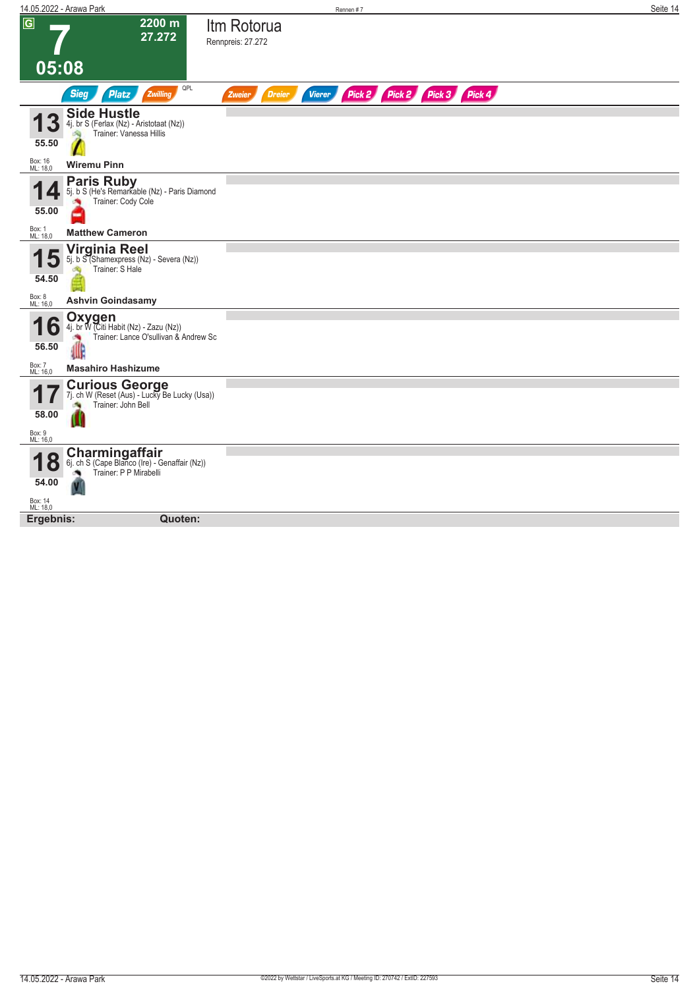|                      | 14.05.2022 - Arawa Park                                                                         |                                  | Rennen #7     |                             | Seite 14 |
|----------------------|-------------------------------------------------------------------------------------------------|----------------------------------|---------------|-----------------------------|----------|
| $\overline{G}$       | $2200 \text{ m}$<br>27.272                                                                      | Itm Rotorua<br>Rennpreis: 27.272 |               |                             |          |
| 05:08                |                                                                                                 |                                  |               |                             |          |
|                      | QPL<br><b>Sieg</b><br><b>Platz</b><br>Zwilling                                                  | <b>Dreier</b><br>Zweier          | <b>Vierer</b> | Pick 2 Pick 2 Pick 3 Pick 4 |          |
| 55.50                | <b>Side Hustle</b><br>4j. br S (Ferlax (Nz) - Aristotaat (Nz))<br>Trainer: Vanessa Hillis       |                                  |               |                             |          |
| Box: 16<br>ML: 18,0  | <b>Wiremu Pinn</b>                                                                              |                                  |               |                             |          |
| 55.00                | <b>Paris Ruby</b><br>5j. b S (He's Remarkable (Nz) - Paris Diamond<br>Trainer: Cody Cole        |                                  |               |                             |          |
| Box: 1<br>ML: 18,0   | <b>Matthew Cameron</b>                                                                          |                                  |               |                             |          |
| 54.50                | Virginia Reel<br>5j. b S (Shamexpress (Nz) - Severa (Nz))<br>Trainer: S Hale                    |                                  |               |                             |          |
| Box: 8<br>ML: 16,0   | <b>Ashvin Goindasamy</b>                                                                        |                                  |               |                             |          |
| O<br>56.50           | Oxygen<br>4j. br W (Citi Habit (Nz) - Zazu (Nz))<br>Trainer: Lance O'sullivan & Andrew Sc<br>df |                                  |               |                             |          |
| Box: 7<br>ML: 16,0   | <b>Masahiro Hashizume</b>                                                                       |                                  |               |                             |          |
| 58.00                | <b>Curious George</b><br>7j. ch W (Reset (Aus) - Lucky Be Lucky (Usa))<br>Trainer: John Bell    |                                  |               |                             |          |
| Box: 9<br>ML: 16,0   |                                                                                                 |                                  |               |                             |          |
| $\mathbf C$<br>54.00 | Charmingaffair<br>6j. ch S (Cape Blanco (Ire) - Genaffair (Nz))<br>Trainer: P P Mirabelli<br>ű  |                                  |               |                             |          |
| Box: 14<br>ML: 18,0  |                                                                                                 |                                  |               |                             |          |
| Ergebnis:            | Quoten:                                                                                         |                                  |               |                             |          |
|                      |                                                                                                 |                                  |               |                             |          |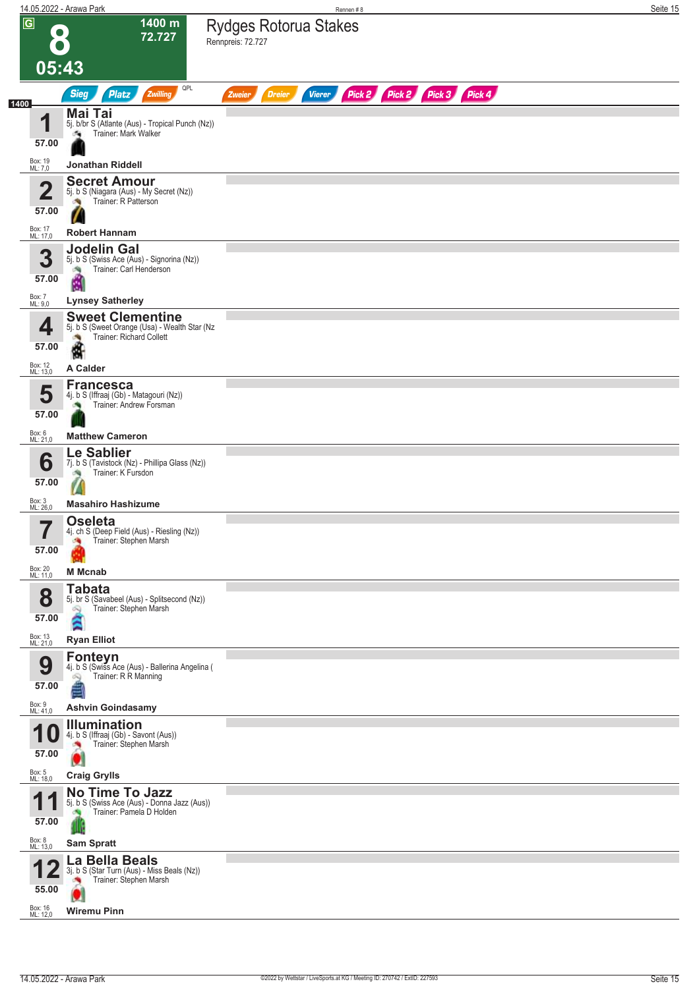|                         | 14.05.2022 - Arawa Park                                                                                   | Rennen#8                                                                | Seite 15 |
|-------------------------|-----------------------------------------------------------------------------------------------------------|-------------------------------------------------------------------------|----------|
| $\overline{G}$          | 1400 m<br>72.727<br>05:43                                                                                 | <b>Rydges Rotorua Stakes</b><br>Rennpreis: 72.727                       |          |
|                         | QPL<br><b>Sieg</b><br><b>Platz</b><br>Zwilling                                                            | Pick 2 Pick 2 Pick 3 Pick 4<br><b>Dreier</b><br><b>Vierer</b><br>Zweier |          |
| 1400                    |                                                                                                           |                                                                         |          |
| 4<br>57.00              | Mai Tai<br>5j. b/br S (Atlante (Aus) - Tropical Punch (Nz))<br>Trainer: Mark Walker<br>d.                 |                                                                         |          |
| Box: 19<br>ML: 7,0      | Jonathan Riddell                                                                                          |                                                                         |          |
| $\overline{2}$<br>57.00 | <b>Secret Amour</b><br>5j. b S (Niagara (Aus) - My Secret (Nz))<br>Trainer: R Patterson                   |                                                                         |          |
| Box: 17                 |                                                                                                           |                                                                         |          |
| ML: 17,0                | <b>Robert Hannam</b><br><b>Jodelin Gal</b>                                                                |                                                                         |          |
| 3<br>57.00              | 5j. b S (Swiss Ace (Aus) - Signorina (Nz))<br>Trainer: Carl Henderson<br>ê                                |                                                                         |          |
| Box: 7<br>ML: 9,0       | <b>Lynsey Satherley</b>                                                                                   |                                                                         |          |
| 4<br>57.00              | <b>Sweet Clementine</b><br>5j. b S (Sweet Orange (Usa) - Wealth Star (Nz<br>Trainer: Richard Collett<br>N |                                                                         |          |
| Box: 12<br>ML: 13,0     | A Calder                                                                                                  |                                                                         |          |
| 5<br>57.00              | <b>Francesca</b><br>4j. b S (Iffraaj (Gb) - Matagouri (Nz))<br>Trainer: Andrew Forsman                    |                                                                         |          |
| Box: 6<br>ML: 21,0      | <b>Matthew Cameron</b>                                                                                    |                                                                         |          |
| 6                       | Le Sablier<br>7j. b S (Tavistock (Nz) - Phillipa Glass (Nz))<br>Trainer: K Fursdon                        |                                                                         |          |
| 57.00                   |                                                                                                           |                                                                         |          |
| Box: 3<br>ML: 26,0      | <b>Masahiro Hashizume</b>                                                                                 |                                                                         |          |
| -7<br>57.00             | <b>Oseleta</b><br>4j. ch S (Deep Field (Aus) - Riesling (Nz))<br>Trainer: Stephen Marsh                   |                                                                         |          |
| Box: 20<br>ML: 11,0     | <b>M</b> Mcnab                                                                                            |                                                                         |          |
| 8<br>57.00              | <b>Tabata</b><br>5j. br S (Savabeel (Aus) - Splitsecond (Nz))<br>Trainer: Stephen Marsh<br>œ,<br>Ã        |                                                                         |          |
| Box: 13<br>ML: 21,0     | <b>Ryan Elliot</b><br><b>Fonteyn</b>                                                                      |                                                                         |          |
| 9<br>57.00              | 4j. b S (Swiss Ace (Aus) - Ballerina Angelina (<br>Trainer: R R Manning<br>Ŵ,<br>á                        |                                                                         |          |
| Box: 9<br>ML: 41,0      | <b>Ashvin Goindasamy</b>                                                                                  |                                                                         |          |
| 1<br>U<br>57.00         | <b>Illumination</b><br>4j. b S (Iffraaj (Gb) - Savont (Aus))<br>Trainer: Stephen Marsh<br>u               |                                                                         |          |
| Box: 5<br>ML: 18,0      | <b>Craig Grylls</b>                                                                                       |                                                                         |          |
| 1<br>1<br>57.00         | No Time To Jazz<br>5j. b S (Swiss Ace (Aus) - Donna Jazz (Aus))<br>Trainer: Pamela D Holden               |                                                                         |          |
| Box: 8<br>ML: 13,0      | <b>Sam Spratt</b>                                                                                         |                                                                         |          |
| 55.00                   | La Bella Beals<br>3j. b S (Star Turn (Aus) - Miss Beals (Nz))<br>Trainer: Stephen Marsh                   |                                                                         |          |
| Box: 16<br>ML: 12,0     | <b>Wiremu Pinn</b>                                                                                        |                                                                         |          |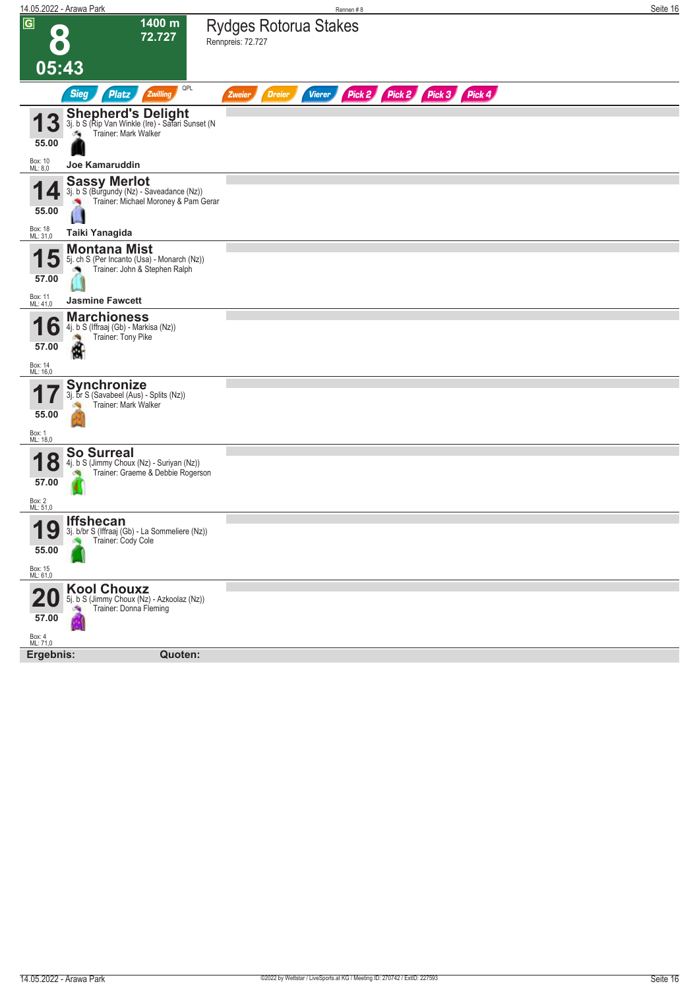|                                           | 14.05.2022 - Arawa Park                                                                                                    | Rennen#8                                                                | Seite 16 |
|-------------------------------------------|----------------------------------------------------------------------------------------------------------------------------|-------------------------------------------------------------------------|----------|
| $\overline{G}$<br>05:43                   | 1400 m<br>72.727                                                                                                           | <b>Rydges Rotorua Stakes</b><br>Rennpreis: 72.727                       |          |
|                                           |                                                                                                                            |                                                                         |          |
|                                           | QPL<br><b>Sieg</b><br>Zwilling<br><b>Platz</b>                                                                             | Pick 2 Pick 2 Pick 3 Pick 4<br><b>Vierer</b><br><b>Dreier</b><br>Zweier |          |
| 3<br>55.00                                | Shepherd's Delight<br>3j. b S (Rip Van Winkle (Ire) - Safari Sunset (N<br>Trainer: Mark Walker                             |                                                                         |          |
| Box: 10<br>ML: 8,0                        | Joe Kamaruddin                                                                                                             |                                                                         |          |
| 55.00<br>Box: 18<br>ML: 31,0              | <b>Sassy Merlot</b><br>3j. b S (Burgundy (Nz) - Saveadance (Nz))<br>Trainer: Michael Moroney & Pam Gerar<br>Taiki Yanagida |                                                                         |          |
|                                           | <b>Montana Mist</b>                                                                                                        |                                                                         |          |
| 57.00                                     | 5j. ch S (Per Incanto (Usa) - Monarch (Nz))<br>Trainer: John & Stephen Ralph                                               |                                                                         |          |
| Box: 11<br>ML: 41,0                       | <b>Jasmine Fawcett</b>                                                                                                     |                                                                         |          |
| $\bullet$<br>57.00<br>Box: 14<br>ML: 16,0 | <b>Marchioness</b><br>4j. b S (Iffraaj (Gb) - Markisa (Nz))<br>Trainer: Tony Pike<br>đ                                     |                                                                         |          |
| 55.00<br>Box: 1<br>ML: 18,0               | Synchronize<br>3j. br S (Savabeel (Aus) - Splits (Nz))<br>Trainer: Mark Walker                                             |                                                                         |          |
| Ō<br>57.00<br>Box: 2<br>ML: 51,0          | <b>So Surreal</b><br>4j. b S (Jimmy Choux (Nz) - Suriyan (Nz))<br>Trainer: Graeme & Debbie Rogerson                        |                                                                         |          |
| 40<br>IJ<br>55.00<br>Box: 15<br>ML: 61,0  | Iffshecan<br>3j. b/br S (Iffraaj (Gb) - La Sommeliere (Nz))<br>Trainer: Cody Cole                                          |                                                                         |          |
| 57.00<br>Box: 4<br>ML: 71,0               | <b>Kool Chouxz</b><br>5j. b S (Jimmy Choux (Nz) - Azkoolaz (Nz))<br>Trainer: Donna Fleming<br>$\sim 0$                     |                                                                         |          |
| Ergebnis:                                 | Quoten:                                                                                                                    |                                                                         |          |
|                                           |                                                                                                                            |                                                                         |          |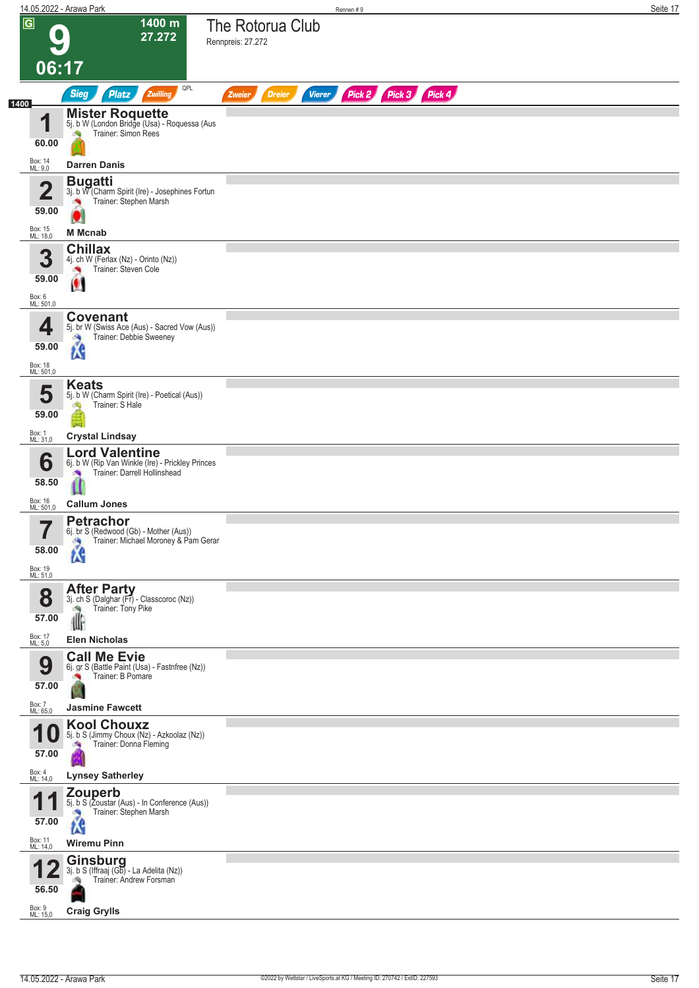|                                                         | 14.05.2022 - Arawa Park                                                                                                               | Rennen #9                                                        | Seite 17 |
|---------------------------------------------------------|---------------------------------------------------------------------------------------------------------------------------------------|------------------------------------------------------------------|----------|
| $\overline{\mathsf{G}}$<br>06:17                        | 1400 m<br>27.272                                                                                                                      | The Rotorua Club<br>Rennpreis: 27.272                            |          |
|                                                         | QPL<br><b>Sieg</b><br>Zwilling<br><b>Platz</b>                                                                                        | Pick 2 Pick 3 Pick 4<br><b>Dreier</b><br><b>Vierer</b><br>Zweier |          |
| 1400<br>4<br>60.00<br>Box: 14                           | <b>Mister Roquette</b><br>5j. b W (London Bridge (Usa) - Roquessa (Aus<br>Trainer: Simon Rees                                         |                                                                  |          |
| ML: 9,0                                                 | <b>Darren Danis</b>                                                                                                                   |                                                                  |          |
| $\overline{\mathbf{2}}$<br>59.00<br>Box: 15<br>ML: 18,0 | <b>Bugatti</b><br>3j. b W (Charm Spirit (Ire) - Josephines Fortun<br>Trainer: Stephen Marsh<br><b>M</b> Mcnab                         |                                                                  |          |
| 3<br>59.00<br>Box: 6<br>ML: 501,0                       | <b>Chillax</b><br>4j. ch W (Ferlax (Nz) - Orinto (Nz))<br>Trainer: Steven Cole<br>$\bullet$                                           |                                                                  |          |
| 4<br>59.00<br>Box: 18<br>ML: 501,0                      | <b>Covenant</b><br>5j. br W (Swiss Ace (Aus) - Sacred Vow (Aus))<br>Trainer: Debbie Sweeney<br><b>DA</b><br><b>is</b>                 |                                                                  |          |
| 5<br>59.00<br>Box: 1<br>ML: 31,0                        | <b>Keats</b><br>5j. b W (Charm Spirit (Ire) - Poetical (Aus))<br>Trainer: S Hale<br><b>Crystal Lindsay</b>                            |                                                                  |          |
| 6<br>58.50<br>Box: 16<br>ML: 501,0                      | <b>Lord Valentine</b><br>6j. b W (Rip Van Winkle (Ire) - Prickley Princes<br>Trainer: Darrell Hollinshead<br>O<br><b>Callum Jones</b> |                                                                  |          |
| - 7<br>I<br>58.00<br>Box: 19<br>ML: 51,0                | <b>Petrachor</b><br>6j. br S (Redwood (Gb) - Mother (Aus))<br>Trainer: Michael Moroney & Pam Gerar<br><b>SA</b><br><b>is</b>          |                                                                  |          |
| 8<br>57.00<br>Box: 17                                   | <b>After Party</b><br>3j. ch S (Dalghar (Fr) - Classcoroc (Nz))<br>Trainer: Tony Pike<br>业<br><b>Elen Nicholas</b>                    |                                                                  |          |
| ML: 5,0<br>9<br>57.00<br>Box: 7<br>ML: 65,0             | <b>Call Me Evie</b><br>6j. gr S (Battle Paint (Usa) - Fastnfree (Nz))<br>Trainer: B Pomare<br><b>Jasmine Fawcett</b>                  |                                                                  |          |
| u<br>57.00<br>Box: 4<br>ML: 14,0                        | <b>Kool Chouxz</b><br>5j. b S (Jimmy Choux (Nz) - Azkoolaz (Nz))<br>Trainer: Donna Fleming<br>Ø,<br><b>Lynsey Satherley</b>           |                                                                  |          |
| 1<br>57.00<br>Box: 11<br>ML: 14,0                       | Zouperb<br>5j. b S (Zoustar (Aus) - In Conference (Aus))<br>Trainer: Stephen Marsh<br><b>SI</b><br><b>RG</b><br><b>Wiremu Pinn</b>    |                                                                  |          |
| 56.50<br>Box: 9<br>ML: 15,0                             | <b>Ginsburg</b><br>3j. b S (Iffraaj (Gb) - La Adelita (Nz))<br>Trainer: Andrew Forsman<br><b>Craig Grylls</b>                         |                                                                  |          |